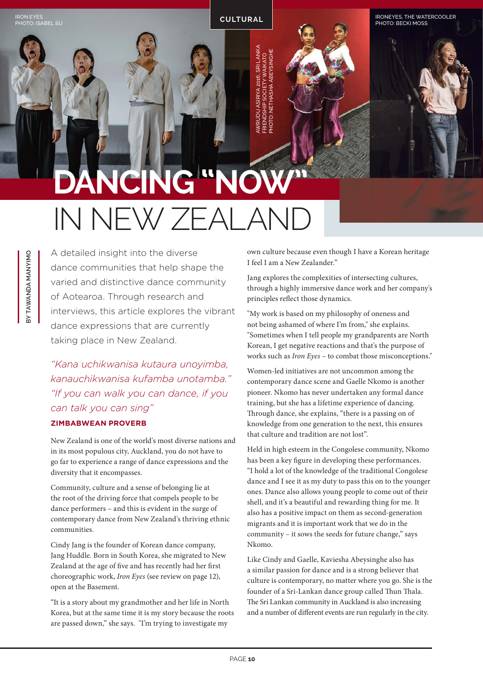IRONEYES, THE WATERCOOLER PHOTO: BECKI MOSS

## **DANCING "NOW"** IN NEW ZEALAND

AWRUDU ASIRIYA 2016, SRI LANKA WRUDU ASIRIYA 2016, SRI LANK/ PHOTO: NETHASHA ABEYSINGHEIENDSHIP SOCIETY WAIKATO<br>OTO: NETHASHA ABEYSINGHE FRIENDSHIP SOCIETY WAIKATO

**BY TAWANDA MANYIMO**  BY TAWANDA MANYIMO

A detailed insight into the diverse dance communities that help shape the varied and distinctive dance community of Aotearoa. Through research and interviews, this article explores the vibrant dance expressions that are currently taking place in New Zealand.

IRON EYES<br>PHOTO: ISABEL SU**NG TARAL ING TARAH ING TARAH ING TARAH ING TARAH ING TARAH ING TARAH ING TARAH ING TARAH ING T** 

*"Kana uchikwanisa kutaura unoyimba, kanauchikwanisa kufamba unotamba." "If you can walk you can dance, if you can talk you can sing"* 

## **ZIMBABWEAN PROVERB**

New Zealand is one of the world's most diverse nations and in its most populous city, Auckland, you do not have to go far to experience a range of dance expressions and the diversity that it encompasses.

Community, culture and a sense of belonging lie at the root of the driving force that compels people to be dance performers – and this is evident in the surge of contemporary dance from New Zealand's thriving ethnic communities.

Cindy Jang is the founder of Korean dance company, Jang Huddle. Born in South Korea, she migrated to New Zealand at the age of five and has recently had her first choreographic work, *Iron Eyes* (see review on page 12), open at the Basement.

"It is a story about my grandmother and her life in North Korea, but at the same time it is my story because the roots are passed down," she says. "I'm trying to investigate my

own culture because even though I have a Korean heritage I feel I am a New Zealander."

Jang explores the complexities of intersecting cultures, through a highly immersive dance work and her company's principles reflect those dynamics.

"My work is based on my philosophy of oneness and not being ashamed of where I'm from," she explains. "Sometimes when I tell people my grandparents are North Korean, I get negative reactions and that's the purpose of works such as *Iron Eyes* – to combat those misconceptions."

Women-led initiatives are not uncommon among the contemporary dance scene and Gaelle Nkomo is another pioneer. Nkomo has never undertaken any formal dance training, but she has a lifetime experience of dancing. Through dance, she explains, "there is a passing on of knowledge from one generation to the next, this ensures that culture and tradition are not lost".

Held in high esteem in the Congolese community, Nkomo has been a key figure in developing these performances. "I hold a lot of the knowledge of the traditional Congolese dance and I see it as my duty to pass this on to the younger ones. Dance also allows young people to come out of their shell, and it's a beautiful and rewarding thing for me. It also has a positive impact on them as second-generation migrants and it is important work that we do in the community – it sows the seeds for future change," says Nkomo.

Like Cindy and Gaelle, Kaviesha Abeysinghe also has a similar passion for dance and is a strong believer that culture is contemporary, no matter where you go. She is the founder of a Sri-Lankan dance group called Thun Thala. The Sri Lankan community in Auckland is also increasing and a number of different events are run regularly in the city.